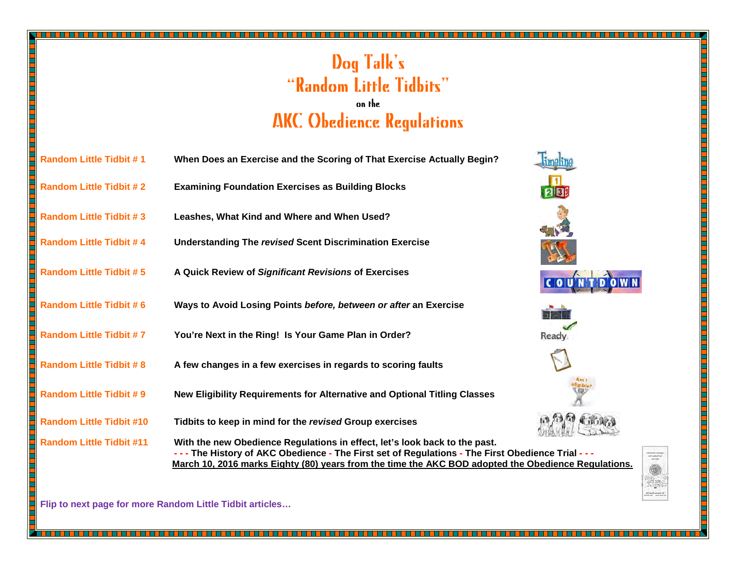## Dog Talk's "Random Little Tidbits"on the AKC Obedience Regulations

| <b>Random Little Tidbit #1</b>  | When Does an Exercise and the Scoring of That Exercise Actually Begin?                                                                                                                                                                                                                          |              |
|---------------------------------|-------------------------------------------------------------------------------------------------------------------------------------------------------------------------------------------------------------------------------------------------------------------------------------------------|--------------|
| <b>Random Little Tidbit #2</b>  | <b>Examining Foundation Exercises as Building Blocks</b>                                                                                                                                                                                                                                        |              |
| <b>Random Little Tidbit #3</b>  | Leashes, What Kind and Where and When Used?                                                                                                                                                                                                                                                     |              |
| <b>Random Little Tidbit #4</b>  | <b>Understanding The revised Scent Discrimination Exercise</b>                                                                                                                                                                                                                                  |              |
| <b>Random Little Tidbit #5</b>  | A Quick Review of Significant Revisions of Exercises                                                                                                                                                                                                                                            |              |
| <b>Random Little Tidbit #6</b>  | Ways to Avoid Losing Points before, between or after an Exercise                                                                                                                                                                                                                                |              |
| <b>Random Little Tidbit #7</b>  | You're Next in the Ring! Is Your Game Plan in Order?                                                                                                                                                                                                                                            | <b>Ready</b> |
| <b>Random Little Tidbit #8</b>  | A few changes in a few exercises in regards to scoring faults                                                                                                                                                                                                                                   |              |
| <b>Random Little Tidbit #9</b>  | New Eligibility Requirements for Alternative and Optional Titling Classes                                                                                                                                                                                                                       |              |
| <b>Random Little Tidbit #10</b> | Tidbits to keep in mind for the revised Group exercises                                                                                                                                                                                                                                         |              |
| <b>Random Little Tidbit #11</b> | With the new Obedience Regulations in effect, let's look back to the past.<br>- - - The History of AKC Obedience - The First set of Regulations - The First Obedience Trial - - -<br><u>March 10, 2016 marks Eighty (80) years from the time the AKC BOD adopted the Obedience Regulations.</u> |              |

**Flip to next page for more Random Little Tidbit articles…** 

▀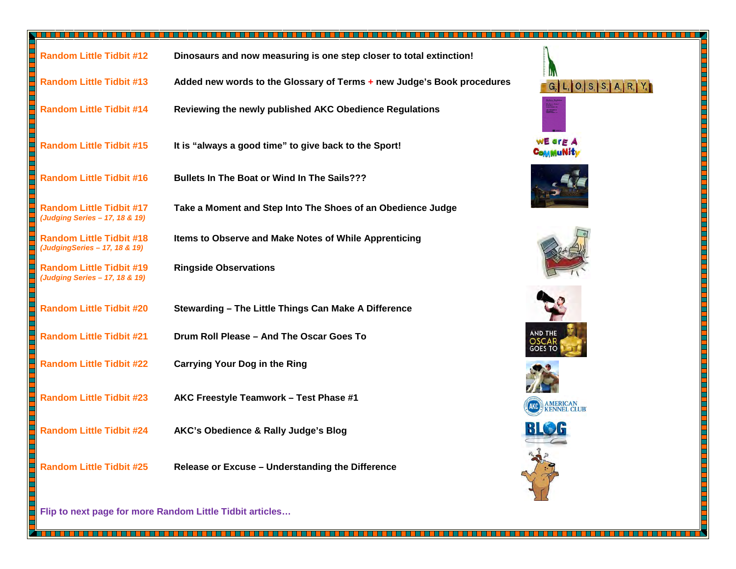| <b>Random Little Tidbit #12</b>                                   | Dinosaurs and now measuring is one step closer to total extinction!    |                            |
|-------------------------------------------------------------------|------------------------------------------------------------------------|----------------------------|
| <b>Random Little Tidbit #13</b>                                   | Added new words to the Glossary of Terms + new Judge's Book procedures | $G_2$ L, O, S, S, A, R, Y, |
| <b>Random Little Tidbit #14</b>                                   | Reviewing the newly published AKC Obedience Regulations                |                            |
| <b>Random Little Tidbit #15</b>                                   | It is "always a good time" to give back to the Sport!                  | C <sub>OMMU</sub> Nity     |
| <b>Random Little Tidbit #16</b>                                   | Bullets In The Boat or Wind In The Sails???                            |                            |
| Random Little Tidbit #17<br>(Judging Series - 17, 18 & 19)        | Take a Moment and Step Into The Shoes of an Obedience Judge            |                            |
| Random Little Tidbit #18<br>(JudgingSeries - 17, 18 & 19)         | Items to Observe and Make Notes of While Apprenticing                  |                            |
| <b>Random Little Tidbit #19</b><br>(Judging Series - 17, 18 & 19) | <b>Ringside Observations</b>                                           |                            |
| <b>Random Little Tidbit #20</b>                                   | Stewarding - The Little Things Can Make A Difference                   |                            |
| <b>Random Little Tidbit #21</b>                                   | Drum Roll Please - And The Oscar Goes To                               | AND THE<br>iOES TO         |
| <b>Random Little Tidbit #22</b>                                   | <b>Carrying Your Dog in the Ring</b>                                   |                            |
| <b>Random Little Tidbit #23</b>                                   | AKC Freestyle Teamwork - Test Phase #1                                 | AMERICAN<br>KENNEL CLUB    |
| <b>Random Little Tidbit #24</b>                                   | AKC's Obedience & Rally Judge's Blog                                   |                            |
| <b>Random Little Tidbit #25</b>                                   | Release or Excuse - Understanding the Difference                       |                            |

Ë

n de la completa de la completa de la completa de la completa de la completa de la completa de la completa de

**Flip to next page for more Random Little Tidbit articles…**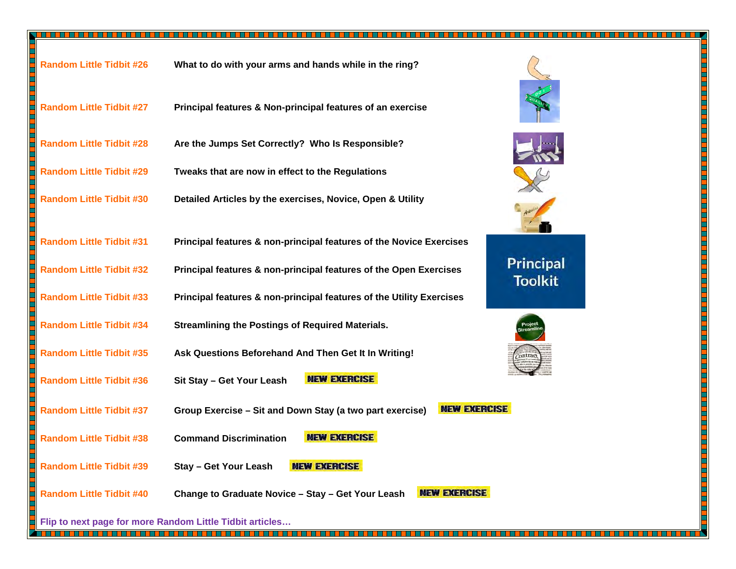| <b>Random Little Tidbit #26</b> | What to do with your arms and hands while in the ring?                                                  |
|---------------------------------|---------------------------------------------------------------------------------------------------------|
| <b>Random Little Tidbit #27</b> | Principal features & Non-principal features of an exercise                                              |
| <b>Random Little Tidbit #28</b> | Are the Jumps Set Correctly? Who Is Responsible?                                                        |
| <b>Random Little Tidbit #29</b> | Tweaks that are now in effect to the Regulations                                                        |
| <b>Random Little Tidbit #30</b> | Detailed Articles by the exercises, Novice, Open & Utility                                              |
| <b>Random Little Tidbit #31</b> | Principal features & non-principal features of the Novice Exercises                                     |
| <b>Random Little Tidbit #32</b> | <b>Principal</b><br>Principal features & non-principal features of the Open Exercises<br><b>Toolkit</b> |
| <b>Random Little Tidbit #33</b> | Principal features & non-principal features of the Utility Exercises                                    |
| <b>Random Little Tidbit #34</b> | <b>Streamlining the Postings of Required Materials.</b>                                                 |
| <b>Random Little Tidbit #35</b> | Ask Questions Beforehand And Then Get It In Writing!                                                    |
| <b>Random Little Tidbit #36</b> | <b>NEW EXERCISE</b><br>Sit Stay - Get Your Leash                                                        |
| <b>Random Little Tidbit #37</b> | <b>NEW EXERCISE</b><br>Group Exercise - Sit and Down Stay (a two part exercise)                         |
| <b>Random Little Tidbit #38</b> | <b>NEW EXERCISE</b><br><b>Command Discrimination</b>                                                    |
| <b>Random Little Tidbit #39</b> | <b>NEW EXERCISE</b><br><b>Stay - Get Your Leash</b>                                                     |
| <b>Random Little Tidbit #40</b> | <b>NEW EXERCISE</b><br>Change to Graduate Novice - Stay - Get Your Leash                                |

**Flip to next page for more Random Little Tidbit articles…** 

## Principal **Toolkit ISE**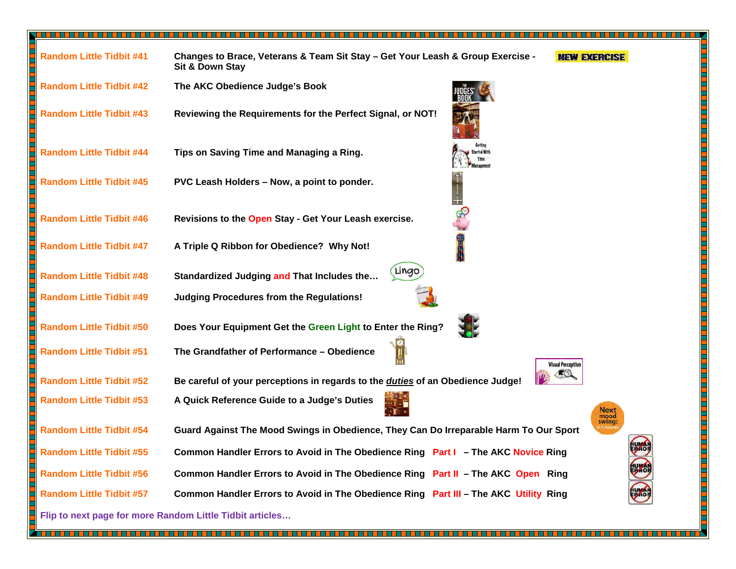| <b>Random Little Tidbit #41</b> | Changes to Brace, Veterans & Team Sit Stay - Get Your Leash & Group Exercise -<br><b>NEW EXERCISE</b><br>Sit & Down Stay |
|---------------------------------|--------------------------------------------------------------------------------------------------------------------------|
| <b>Random Little Tidbit #42</b> | The AKC Obedience Judge's Book                                                                                           |
| <b>Random Little Tidbit #43</b> | Reviewing the Requirements for the Perfect Signal, or NOT!                                                               |
| <b>Random Little Tidbit #44</b> | Tips on Saving Time and Managing a Ring.                                                                                 |
| <b>Random Little Tidbit #45</b> | PVC Leash Holders - Now, a point to ponder.                                                                              |
| <b>Random Little Tidbit #46</b> | Revisions to the Open Stay - Get Your Leash exercise.                                                                    |
| <b>Random Little Tidbit #47</b> | A Triple Q Ribbon for Obedience? Why Not!                                                                                |
| <b>Random Little Tidbit #48</b> | Lingo<br>Standardized Judging and That Includes the                                                                      |
| <b>Random Little Tidbit #49</b> | <b>Judging Procedures from the Regulations!</b>                                                                          |
| <b>Random Little Tidbit #50</b> | Does Your Equipment Get the Green Light to Enter the Ring?                                                               |
| <b>Random Little Tidbit #51</b> | The Grandfather of Performance - Obedience<br><b>Visual Perception</b>                                                   |
| <b>Random Little Tidbit #52</b> | Be careful of your perceptions in regards to the <i>duties</i> of an Obedience Judge!                                    |
| <b>Random Little Tidbit #53</b> | A Quick Reference Guide to a Judge's Duties<br>Next<br>mood                                                              |
| <b>Random Little Tidbit #54</b> | swing:<br>Guard Against The Mood Swings in Obedience, They Can Do Irreparable Harm To Our Sport                          |
| <b>Random Little Tidbit #55</b> | <b>IUMA</b><br>Common Handler Errors to Avoid in The Obedience Ring Part I - The AKC Novice Ring<br>ᢟ                    |
| <b>Random Little Tidbit #56</b> | <b>BAO</b><br>Common Handler Errors to Avoid in The Obedience Ring Part II - The AKC Open Ring                           |
| <b>Random Little Tidbit #57</b> | $\bullet$<br>Common Handler Errors to Avoid in The Obedience Ring Part III - The AKC Utility Ring                        |
|                                 | Flip to next page for more Random Little Tidbit articles                                                                 |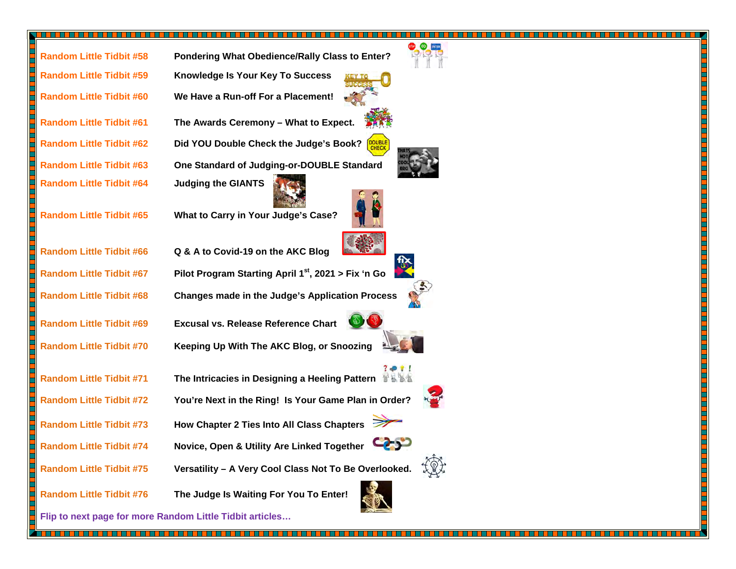| <b>Random Little Tidbit #58</b> | Pondering What Obedience/Rally Class to Enter?           |
|---------------------------------|----------------------------------------------------------|
| <b>Random Little Tidbit #59</b> | <b>Knowledge Is Your Key To Success</b>                  |
| <b>Random Little Tidbit #60</b> | We Have a Run-off For a Placement!                       |
| <b>Random Little Tidbit #61</b> | The Awards Ceremony - What to Expect.                    |
| <b>Random Little Tidbit #62</b> | <b>DOUBLE</b><br>Did YOU Double Check the Judge's Book?  |
| <b>Random Little Tidbit #63</b> | One Standard of Judging-or-DOUBLE Standard               |
| <b>Random Little Tidbit #64</b> | <b>Judging the GIANTS</b>                                |
| <b>Random Little Tidbit #65</b> | What to Carry in Your Judge's Case?                      |
| <b>Random Little Tidbit #66</b> | Q & A to Covid-19 on the AKC Blog                        |
| <b>Random Little Tidbit #67</b> | Pilot Program Starting April $1^{st}$ , 2021 > Fix 'n Go |
| <b>Random Little Tidbit #68</b> | <b>Changes made in the Judge's Application Process</b>   |
| <b>Random Little Tidbit #69</b> | <b>Excusal vs. Release Reference Chart</b>               |
| <b>Random Little Tidbit #70</b> | Keeping Up With The AKC Blog, or Snoozing                |
|                                 |                                                          |
| <b>Random Little Tidbit #71</b> | The Intricacies in Designing a Heeling Pattern THT       |
| <b>Random Little Tidbit #72</b> | You're Next in the Ring! Is Your Game Plan in Order?     |
| <b>Random Little Tidbit #73</b> | How Chapter 2 Ties Into All Class Chapters               |
| <b>Random Little Tidbit #74</b> | 95<br>Novice, Open & Utility Are Linked Together         |
| <b>Random Little Tidbit #75</b> | Versatility - A Very Cool Class Not To Be Overlooked.    |
| <b>Random Little Tidbit #76</b> | The Judge Is Waiting For You To Enter!                   |

<u>TA SA SA MARA NA MARA NA MATA NA MATA NA MATA NA MATA NA MATA NA MATA NA MATA NA MATA NA MATA NA MATA NA MATA N</u>

**Flip to next page for more Random Little Tidbit articles…** 



H

٩

Н